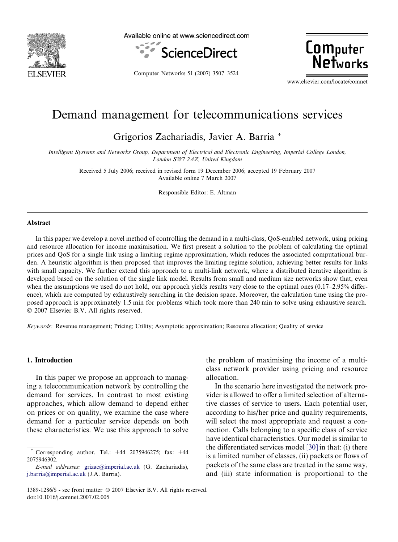

Available online at www.sciencedirect.com



Computer Networks 51 (2007) 3507–3524

**Computer** Networks

www.elsevier.com/locate/comnet

## Demand management for telecommunications services

Grigorios Zachariadis, Javier A. Barria \*

Intelligent Systems and Networks Group, Department of Electrical and Electronic Engineering, Imperial College London, London SW7 2AZ, United Kingdom

> Received 5 July 2006; received in revised form 19 December 2006; accepted 19 February 2007 Available online 7 March 2007

> > Responsible Editor: E. Altman

#### Abstract

In this paper we develop a novel method of controlling the demand in a multi-class, QoS-enabled network, using pricing and resource allocation for income maximisation. We first present a solution to the problem of calculating the optimal prices and QoS for a single link using a limiting regime approximation, which reduces the associated computational burden. A heuristic algorithm is then proposed that improves the limiting regime solution, achieving better results for links with small capacity. We further extend this approach to a multi-link network, where a distributed iterative algorithm is developed based on the solution of the single link model. Results from small and medium size networks show that, even when the assumptions we used do not hold, our approach yields results very close to the optimal ones (0.17–2.95% difference), which are computed by exhaustively searching in the decision space. Moreover, the calculation time using the proposed approach is approximately 1.5 min for problems which took more than 240 min to solve using exhaustive search. © 2007 Elsevier B.V. All rights reserved.

Keywords: Revenue management; Pricing; Utility; Asymptotic approximation; Resource allocation; Quality of service

#### 1. Introduction

In this paper we propose an approach to managing a telecommunication network by controlling the demand for services. In contrast to most existing approaches, which allow demand to depend either on prices or on quality, we examine the case where demand for a particular service depends on both these characteristics. We use this approach to solve

the problem of maximising the income of a multiclass network provider using pricing and resource allocation.

In the scenario here investigated the network provider is allowed to offer a limited selection of alternative classes of service to users. Each potential user, according to his/her price and quality requirements, will select the most appropriate and request a connection. Calls belonging to a specific class of service have identical characteristics. Our model is similar to the differentiated services model [\[30\]](#page--1-0) in that: (i) there is a limited number of classes, (ii) packets or flows of packets of the same class are treated in the same way, and (iii) state information is proportional to the

Corresponding author. Tel.: +44 2075946275; fax: +44 2075946302.

E-mail addresses: [grizac@imperial.ac.uk](mailto:grizac@imperial.ac.uk) (G. Zachariadis), [j.barria@imperial.ac.uk](mailto:j.barria@imperial.ac.uk) (J.A. Barria).

<sup>1389-1286/\$ -</sup> see front matter © 2007 Elsevier B.V. All rights reserved. doi:10.1016/j.comnet.2007.02.005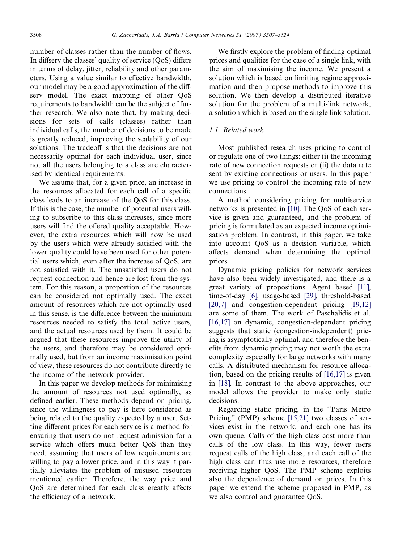number of classes rather than the number of flows. In diffserv the classes' quality of service (QoS) differs in terms of delay, jitter, reliability and other parameters. Using a value similar to effective bandwidth, our model may be a good approximation of the diffserv model. The exact mapping of other QoS requirements to bandwidth can be the subject of further research. We also note that, by making decisions for sets of calls (classes) rather than individual calls, the number of decisions to be made is greatly reduced, improving the scalability of our solutions. The tradeoff is that the decisions are not necessarily optimal for each individual user, since not all the users belonging to a class are characterised by identical requirements.

We assume that, for a given price, an increase in the resources allocated for each call of a specific class leads to an increase of the QoS for this class. If this is the case, the number of potential users willing to subscribe to this class increases, since more users will find the offered quality acceptable. However, the extra resources which will now be used by the users which were already satisfied with the lower quality could have been used for other potential users which, even after the increase of QoS, are not satisfied with it. The unsatisfied users do not request connection and hence are lost from the system. For this reason, a proportion of the resources can be considered not optimally used. The exact amount of resources which are not optimally used in this sense, is the difference between the minimum resources needed to satisfy the total active users, and the actual resources used by them. It could be argued that these resources improve the utility of the users, and therefore may be considered optimally used, but from an income maximisation point of view, these resources do not contribute directly to the income of the network provider.

In this paper we develop methods for minimising the amount of resources not used optimally, as defined earlier. These methods depend on pricing, since the willingness to pay is here considered as being related to the quality expected by a user. Setting different prices for each service is a method for ensuring that users do not request admission for a service which offers much better QoS than they need, assuming that users of low requirements are willing to pay a lower price, and in this way it partially alleviates the problem of misused resources mentioned earlier. Therefore, the way price and QoS are determined for each class greatly affects the efficiency of a network.

We firstly explore the problem of finding optimal prices and qualities for the case of a single link, with the aim of maximising the income. We present a solution which is based on limiting regime approximation and then propose methods to improve this solution. We then develop a distributed iterative solution for the problem of a multi-link network, a solution which is based on the single link solution.

### 1.1. Related work

Most published research uses pricing to control or regulate one of two things: either (i) the incoming rate of new connection requests or (ii) the data rate sent by existing connections or users. In this paper we use pricing to control the incoming rate of new connections.

A method considering pricing for multiservice networks is presented in [\[10\]](#page--1-0). The QoS of each service is given and guaranteed, and the problem of pricing is formulated as an expected income optimisation problem. In contrast, in this paper, we take into account QoS as a decision variable, which affects demand when determining the optimal prices.

Dynamic pricing policies for network services have also been widely investigated, and there is a great variety of propositions. Agent based [\[11\],](#page--1-0) time-of-day [\[6\],](#page--1-0) usage-based [\[29\],](#page--1-0) threshold-based [\[20,7\]](#page--1-0) and congestion-dependent pricing [\[19,12\]](#page--1-0) are some of them. The work of Paschalidis et al. [\[16,17\]](#page--1-0) on dynamic, congestion-dependent pricing suggests that static (congestion-independent) pricing is asymptotically optimal, and therefore the benefits from dynamic pricing may not worth the extra complexity especially for large networks with many calls. A distributed mechanism for resource allocation, based on the pricing results of [\[16,17\]](#page--1-0) is given in [\[18\].](#page--1-0) In contrast to the above approaches, our model allows the provider to make only static decisions.

Regarding static pricing, in the ''Paris Metro Pricing" (PMP) scheme [\[15,21\]](#page--1-0) two classes of services exist in the network, and each one has its own queue. Calls of the high class cost more than calls of the low class. In this way, fewer users request calls of the high class, and each call of the high class can thus use more resources, therefore receiving higher QoS. The PMP scheme exploits also the dependence of demand on prices. In this paper we extend the scheme proposed in PMP, as we also control and guarantee QoS.